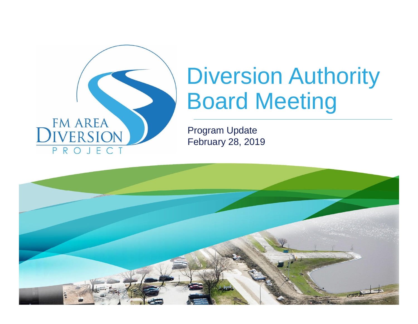

# Diversion Authority Board Meeting

Program Update February 28, 2019

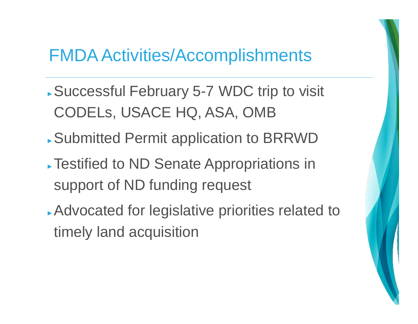## FMDA Activities/Accomplishments

- ► Successful February 5-7 WDC trip to visit CODELs, USACE HQ, ASA, OMB
- ► Submitted Permit application to BRRWD
- ► Testified to ND Senate Appropriations in support of ND funding request
- ► Advocated for legislative priorities related to timely land acquisition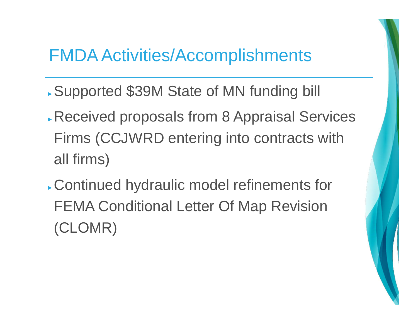#### FMDA Activities/Accomplishments

- ► Supported \$39M State of MN funding bill
- ► Received proposals from 8 Appraisal Services Firms (CCJWRD entering into contracts with all firms)
- ► Continued hydraulic model refinements for FEMA Conditional Letter Of Map Revision (CLOMR)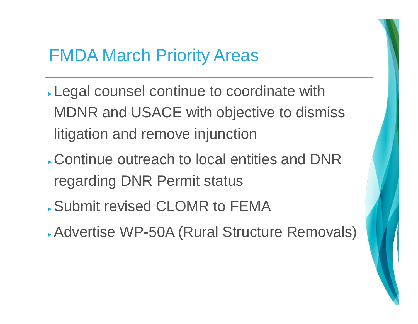#### FMDA March Priority Areas

- ► Legal counsel continue to coordinate with MDNR and USACE with objective to dismiss litigation and remove injunction
- ► Continue outreach to local entities and DNR regarding DNR Permit status
- ► Submit revised CLOMR to FEMA
- ► Advertise WP-50A (Rural Structure Removals)

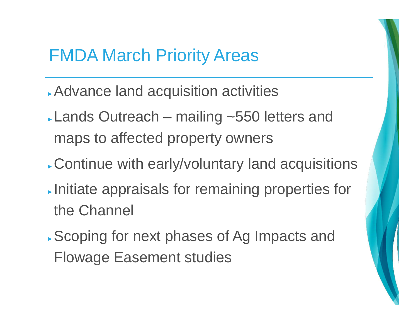#### FMDA March Priority Areas

- ► Advance land acquisition activities
- ► Lands Outreach mailing ~550 letters and maps to affected property owners
- ► Continue with early/voluntary land acquisitions
- ► Initiate appraisals for remaining properties for the Channel
- ► Scoping for next phases of Ag Impacts and Flowage Easement studies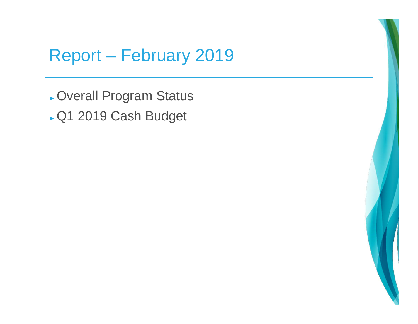## Report – February 2019

► Overall Program Status ► Q1 2019 Cash Budget

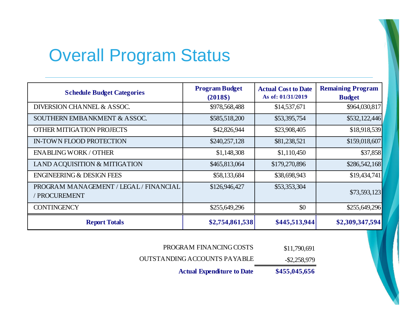## Overall Program Status

| <b>Schedule Budget Categories</b>                            | <b>Program Budget</b><br>$(2018\$ | <b>Actual Cost to Date</b><br>As of: 01/31/2019 | <b>Remaining Program</b><br><b>Budget</b> |
|--------------------------------------------------------------|-----------------------------------|-------------------------------------------------|-------------------------------------------|
| DIVERSION CHANNEL & ASSOC.                                   | \$978,568,488                     | \$14,537,671                                    | \$964,030,817                             |
| SOUTHERN EMBANKMENT & ASSOC.                                 | \$585,518,200                     | \$53,395,754                                    | \$532,122,446                             |
| OTHER MITIGATION PROJECTS                                    | \$42,826,944                      | \$23,908,405                                    | \$18,918,539                              |
| <b>IN-TOWN FLOOD PROTECTION</b>                              | \$240,257,128                     | \$81,238,521                                    | \$159,018,607                             |
| <b>ENABLING WORK / OTHER</b>                                 | \$1,148,308                       | \$1,110,450                                     | \$37,858                                  |
| LAND ACQUISITION & MITIGATION                                | \$465,813,064                     | \$179,270,896                                   | \$286,542,168                             |
| <b>ENGINEERING &amp; DESIGN FEES</b>                         | \$58,133,684                      | \$38,698,943                                    | \$19,434,741                              |
| PROGRAM MANAGEMENT / LEGAL / FINANCIAL<br><b>PROCUREMENT</b> | \$126,946,427                     | \$53,353,304                                    | \$73,593,123                              |
| <b>CONTINGENCY</b>                                           | \$255,649,296                     | \$0                                             | \$255,649,296                             |
| <b>Report Totals</b>                                         | \$2,754,861,538                   | \$445,513,944                                   | \$2,309,347,594                           |

| \$11,790,691     | PROGRAM FINANCING COSTS              |  |
|------------------|--------------------------------------|--|
| $AA = A = A = A$ | TECT A MINIMIC A CCOUNTER DA VA DI E |  |

-\$2,258,979 OUTSTANDING ACCOUNTS PAYABLE

**Actual Expenditure to Date**

**\$455,045,656**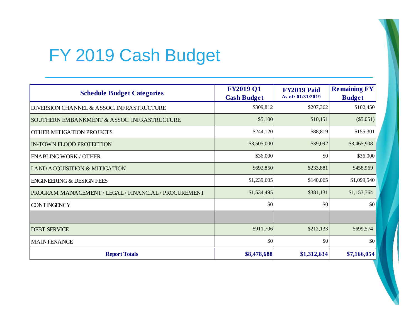# FY 2019 Cash Budget

| <b>Schedule Budget Categories</b>                    | <b>FY2019 Q1</b><br><b>Cash Budget</b> | FY2019 Paid<br>As of: 01/31/2019 | <b>Remaining FY</b><br><b>Budget</b> |
|------------------------------------------------------|----------------------------------------|----------------------------------|--------------------------------------|
| <b>DIVERSION CHANNEL &amp; ASSOC. INFRASTRUCTURE</b> | \$309,812                              | \$207,362                        | \$102,450                            |
| SOUTHERN EMBANKMENT & ASSOC. INFRASTRUCTURE          | \$5,100                                | \$10,151                         | (\$5,051)                            |
| OTHER MITIGATION PROJECTS                            | \$244,120                              | \$88,819                         | \$155,301                            |
| <b>IN-TOWN FLOOD PROTECTION</b>                      | \$3,505,000                            | \$39,092                         | \$3,465,908                          |
| <b>ENABLING WORK / OTHER</b>                         | \$36,000                               | \$0                              | \$36,000                             |
| LAND ACQUISITION & MITIGATION                        | \$692,850                              | \$233,881                        | \$458,969                            |
| <b>ENGINEERING &amp; DESIGN FEES</b>                 | \$1,239,605                            | \$140,065                        | \$1,099,540                          |
| PROGRAM MANAGEMENT / LEGAL / FINANCIAL / PROCUREMENT | \$1,534,495                            | \$381,131                        | \$1,153,364                          |
| <b>CONTINGENCY</b>                                   | \$0                                    | \$0                              | \$0                                  |
|                                                      |                                        |                                  |                                      |
| <b>DEBT SERVICE</b>                                  | \$911,706                              | \$212,133                        | \$699,574                            |
| <b>MAINTENANCE</b>                                   | $\vert \$\text{O}\vert$                | \$0                              | \$0                                  |
| <b>Report Totals</b>                                 | \$8,478,688                            | \$1,312,634                      | \$7,166,054                          |